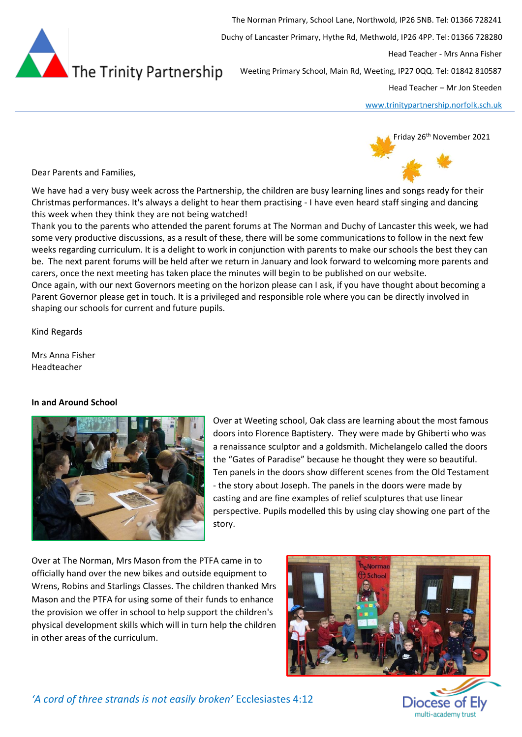

The Norman Primary, School Lane, Northwold, IP26 5NB. Tel: 01366 728241 Duchy of Lancaster Primary, Hythe Rd, Methwold, IP26 4PP. Tel: 01366 728280 Head Teacher - Mrs Anna Fisher Weeting Primary School, Main Rd, Weeting, IP27 0QQ. Tel: 01842 810587

Head Teacher – Mr Jon Steeden

[www.trinitypartnership.norfolk.sch.uk](http://www.trinitypartnership.norfolk.sch.uk/)

Friday 26<sup>th</sup> November 2021

Dear Parents and Families,

We have had a very busy week across the Partnership, the children are busy learning lines and songs ready for their Christmas performances. It's always a delight to hear them practising - I have even heard staff singing and dancing this week when they think they are not being watched!

Thank you to the parents who attended the parent forums at The Norman and Duchy of Lancaster this week, we had some very productive discussions, as a result of these, there will be some communications to follow in the next few weeks regarding curriculum. It is a delight to work in conjunction with parents to make our schools the best they can be. The next parent forums will be held after we return in January and look forward to welcoming more parents and carers, once the next meeting has taken place the minutes will begin to be published on our website. Once again, with our next Governors meeting on the horizon please can I ask, if you have thought about becoming a Parent Governor please get in touch. It is a privileged and responsible role where you can be directly involved in shaping our schools for current and future pupils.

Kind Regards

Mrs Anna Fisher Headteacher

## **In and Around School**



Over at Weeting school, Oak class are learning about the most famous doors into Florence Baptistery. They were made by Ghiberti who was a renaissance sculptor and a goldsmith. Michelangelo called the doors the "Gates of Paradise" because he thought they were so beautiful. Ten panels in the doors show different scenes from the Old Testament - the story about Joseph. The panels in the doors were made by casting and are fine examples of relief sculptures that use linear perspective. Pupils modelled this by using clay showing one part of the story.

Over at The Norman, Mrs Mason from the PTFA came in to officially hand over the new bikes and outside equipment to Wrens, Robins and Starlings Classes. The children thanked Mrs Mason and the PTFA for using some of their funds to enhance the provision we offer in school to help support the children's physical development skills which will in turn help the children in other areas of the curriculum.



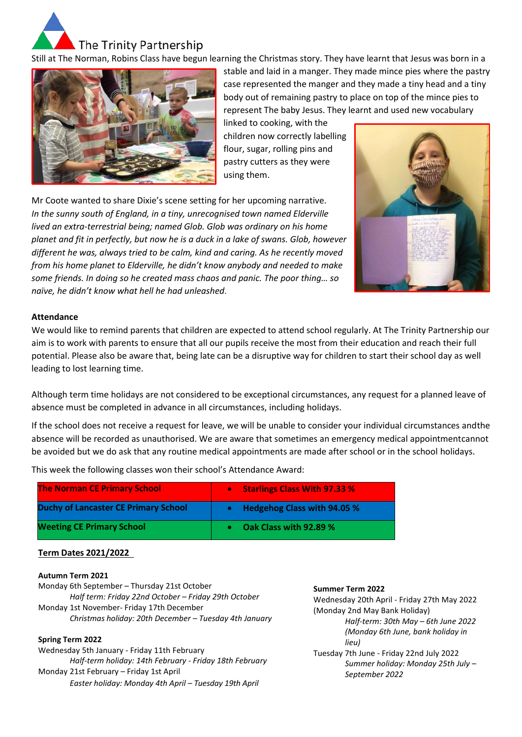

Still at The Norman, Robins Class have begun learning the Christmas story. They have learnt that Jesus was born in a



stable and laid in a manger. They made mince pies where the pastry case represented the manger and they made a tiny head and a tiny body out of remaining pastry to place on top of the mince pies to represent The baby Jesus. They learnt and used new vocabulary

linked to cooking, with the children now correctly labelling flour, sugar, rolling pins and pastry cutters as they were using them.

Mr Coote wanted to share Dixie's scene setting for her upcoming narrative. *In the sunny south of England, in a tiny, unrecognised town named Elderville lived an extra-terrestrial being; named Glob. Glob was ordinary on his home planet and fit in perfectly, but now he is a duck in a lake of swans. Glob, however different he was, always tried to be calm, kind and caring. As he recently moved from his home planet to Elderville, he didn't know anybody and needed to make some friends. In doing so he created mass chaos and panic. The poor thing… so naïve, he didn't know what hell he had unleashed*.



## **Attendance**

We would like to remind parents that children are expected to attend school regularly. At The Trinity Partnership our aim is to work with parents to ensure that all our pupils receive the most from their education and reach their full potential. Please also be aware that, being late can be a disruptive way for children to start their school day as well leading to lost learning time.

Although term time holidays are not considered to be exceptional circumstances, any request for a planned leave of absence must be completed in advance in all circumstances, including holidays.

If the school does not receive a request for leave, we will be unable to consider your individual circumstances andthe absence will be recorded as unauthorised. We are aware that sometimes an emergency medical appointmentcannot be avoided but we do ask that any routine medical appointments are made after school or in the school holidays.

This week the following classes won their school's Attendance Award:

| <b>The Norman CE Primary School</b>         | <b>Starlings Class With 97.33 %</b><br>$\bullet$ |
|---------------------------------------------|--------------------------------------------------|
| <b>Duchy of Lancaster CE Primary School</b> | <b>Hedgehog Class with 94.05 %</b>               |
| <b>Weeting CE Primary School</b>            | Oak Class with 92.89 %                           |

## **Term Dates 2021/2022**

#### **Autumn Term 2021**

Monday 6th September – Thursday 21st October *Half term: Friday 22nd October – Friday 29th October* Monday 1st November- Friday 17th December *Christmas holiday: 20th December – Tuesday 4th January*

## **Spring Term 2022**

Wednesday 5th January - Friday 11th February *Half-term holiday: 14th February - Friday 18th February* Monday 21st February – Friday 1st April *Easter holiday: Monday 4th April – Tuesday 19th April*

### **Summer Term 2022**

Wednesday 20th April - Friday 27th May 2022 (Monday 2nd May Bank Holiday) *Half-term: 30th May – 6th June 2022 (Monday 6th June, bank holiday in lieu)*

Tuesday 7th June - Friday 22nd July 2022 *Summer holiday: Monday 25th July – September 2022*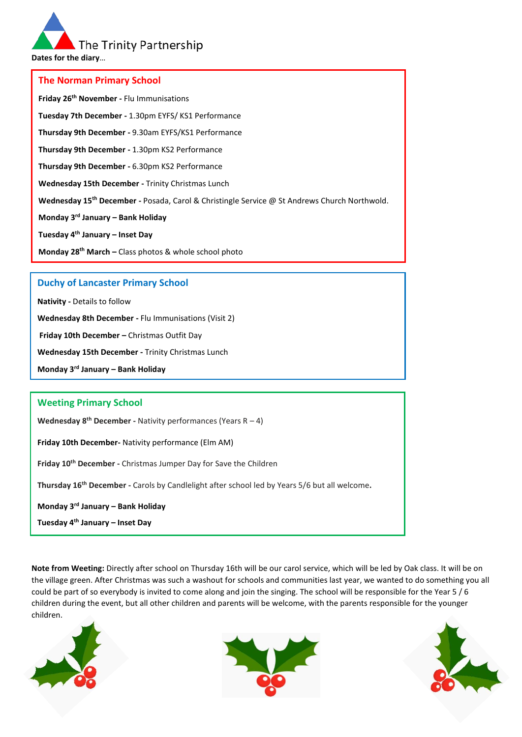The Trinity Partnership

**Dates for the diary**…

### **The Norman Primary School**

**Friday 26th November -** Flu Immunisations **Tuesday 7th December -** 1.30pm EYFS/ KS1 Performance **Thursday 9th December -** 9.30am EYFS/KS1 Performance **Thursday 9th December -** 1.30pm KS2 Performance **Thursday 9th December -** 6.30pm KS2 Performance **Wednesday 15th December -** Trinity Christmas Lunch **Wednesday 15th December -** Posada, Carol & Christingle Service @ St Andrews Church Northwold. **Monday 3rd January – Bank Holiday Tuesday 4th January – Inset Day Monday 28th March –** Class photos & whole school photo

## **Duchy of Lancaster Primary School**

**Nativity -** Details to follow

**Wednesday 8th December -** Flu Immunisations (Visit 2)

**Friday 10th December –** Christmas Outfit Day

**Wednesday 15th December -** Trinity Christmas Lunch

**Monday 3rd January – Bank Holiday**

# **Weeting Primary School**

**Wednesday 8th December -** Nativity performances (Years R – 4)

**Friday 10th December-** Nativity performance (Elm AM)

**Friday 10th December -** Christmas Jumper Day for Save the Children

**Thursday 16th December -** Carols by Candlelight after school led by Years 5/6 but all welcome**.**

#### **Monday 3rd January – Bank Holiday**

**Tuesday 4th January – Inset Day** 

**Note from Weeting:** Directly after school on Thursday 16th will be our carol service, which will be led by Oak class. It will be on the village green. After Christmas was such a washout for schools and communities last year, we wanted to do something you all could be part of so everybody is invited to come along and join the singing. The school will be responsible for the Year 5 / 6 children during the event, but all other children and parents will be welcome, with the parents responsible for the younger children.